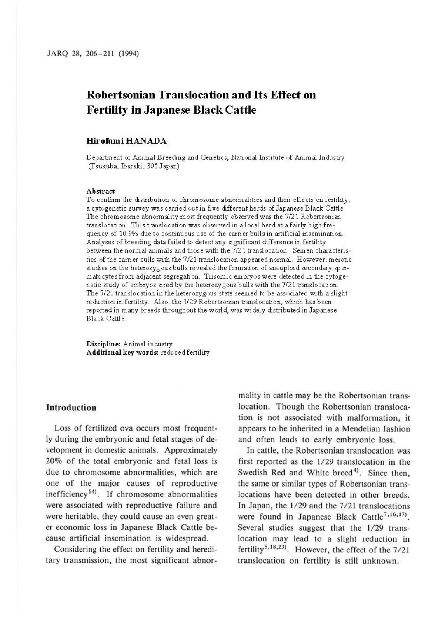# **Robertsonian Translocation and Its Effect on Fertility in Japanese Black Cattle**

#### **Hirofumi HAN ADA**

Department of Animal Breeding and Genetics, National Institute of Animal Industry (Tsukuba, Ibaraki, 305 Japan)

#### **Abstract**

To confirm the distribution of chromosome abnormalities and their effects on fertility, a cytogenetic survey was carried out in five different herds of Japanese Black Cattle. The chromosome abnormality most frequently observed was the 7/21 Robertsonian translocation. This translocation was observed in a local herd at a fairly high frequency of 10.9% due to continuous use of the carrier bulls in artificial insemination. Analyses of breeding data failed to detect any significant difference in fertility between the normal animals and those with the 7/21 translocation. Semen characteristics of the carrier culls with the 7/21 translocation appeared normal. However, meiotic studies on the heterozygous bulls revealed the formation of aneuploid secondary spermatocytes from adjacent segregation. Trisomic embryos were detected in the *cytoge*netic study of embryos sired *by* the heterozygous bulls with the 7/21 translocation. The 7/21 translocation in the heterozygous state seemed to be associated with a slight reduction in fertility. Also, the 1/29 Robertsonian translocation, which has been reported in many breeds throughout the world, was widely distributed in Japanese Black Cattle.

**Discipline:** Animal industry **Additional key words:** reduced fertility

#### **Introduction**

Loss of fertilized ova occurs most frequently during the embryonic and fetal stages of development in domestic animals. Approximately 20% of the total embryonic and fetal loss is due to chromosome abnormalities, which are one of the major causes of reproductive inefficiency<sup>14)</sup>. If chromosome abnormalities were associated with reproductive failure and were heritable, they could cause an even greater economic loss in Japanese Black Cattle because artificial insemination is widespread.

Considering the effect on fertility and hereditary transmission, the most significant abnormality in cattle may be the Robertsonian translocation. Though the Robertsonian translocation is not associated with malformation, it appears to be inherited in a Mendelian fashion and often leads to early embryonic loss.

In cattle, the Robertsonian translocation was first reported as the 1/29 translocation in the Swedish Red and White breed<sup>4</sup>). Since then, the same or similar types of Robertsonian translocations have been detected in other breeds. In Japan, the 1/29 and the 7/21 translocations were found in Japanese Black Cattle<sup>7,16,17</sup>. Several studies suggest that the 1/29 translocation may lead to a slight reduction in fertility<sup>5,18,23</sup>. However, the effect of the  $7/21$ translocation on fertility is still unknown.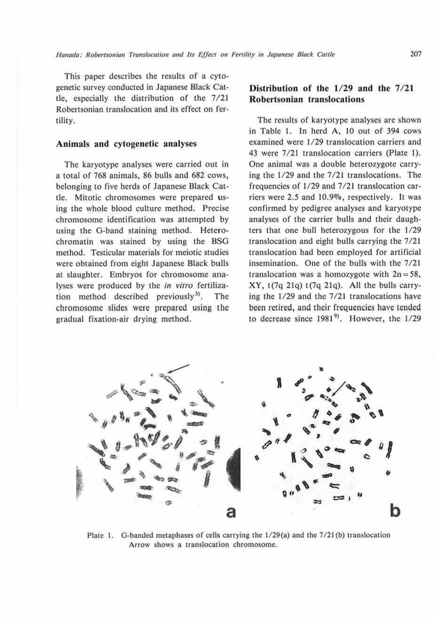This paper describes the results of a cytogenetic survey conducted in Japanese Black Cattle, especially the distribution of the 7/21 Robertsonian translocation and its effect on fertility.

#### **Animals and cytogenetic analyses**

The karyotype analyses were carried out in a total of 768 animals, 86 bulls and 682 cows, belonging to five herds of Japanese Black Cattle. Mitotic chromosomes were prepared using the whole blood culture method. Precise chromosome identification was attempted by using the G-band staining method. Heterochromatin was stained by using the BSG method. Testicular materials for meiotic studies were obtained from eight Japanese Black bulls at slaughter. Embryos for chromosome analyses were produced by the *in vitro* fertilization method described previously $3^3$ . The chromosome slides were prepared using the gradual fixation-air drying method.

# Distribution of the  $1/29$  and the  $7/21$ **Robertsonian translocations**

The results of karyotype analyses are shown in Table I. In herd A, 10 out of 394 cows examined were 1/29 translocation carriers and 43 were 7/21 translocation carriers (Plate 1). One animal was a double heterozygote carrying the 1/29 and the 7/21 translocations. The frequencies of 1/29 and 7/21 translocation carriers were 2.5 and 10.9%, respectively. It was confirmed by pedigree analyses and karyotype analyses of the carrier bulls and their daughters that one bull heterozygous for the 1/29 translocation and eight bulls carrying the 7/21 translocation had been employed for artificial insemination. One of the bulls with the 7/21 translocation was a homozygote with  $2n = 58$ , XY, t(7q 21q) t(7q 21q). All the bulls carrying the 1/29 and the 7/21 translocations have been retired, and their frequencies have tended to decrease since  $1981^9$ . However, the  $1/29$ 



Plate I. G-banded metaphases of cells carrying the l/29(a) and the 7/21 (b) translocation Arrow shows a translocation chromosome.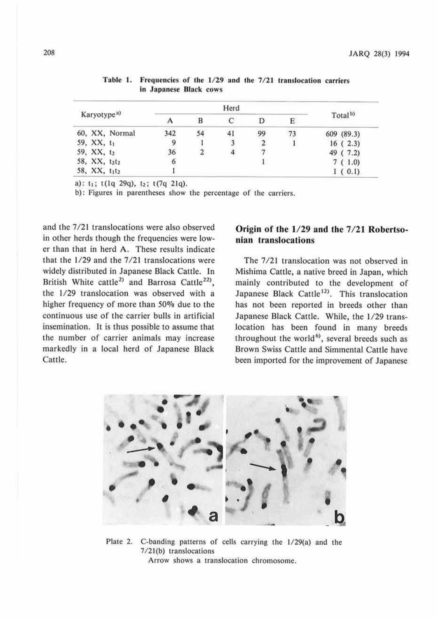| Karyotype <sup>a)</sup>               |     |    |    |    |   |                     |
|---------------------------------------|-----|----|----|----|---|---------------------|
|                                       |     |    |    |    | Е | Total <sup>b)</sup> |
| 60, XX, Normal                        | 342 | 54 | 41 | 99 |   | 609 (89.3)          |
| 59, XX, t1                            |     |    |    |    |   | 16(2.3)             |
| 59, XX, t2                            | 36  |    |    |    |   | 49 (7.2)            |
| 58, XX, t2t2                          |     |    |    |    |   | 7(1.0)              |
| 58, XX, t <sub>1</sub> t <sub>2</sub> |     |    |    |    |   | 1(0.1)              |

Table 1. Frequencies of the 1/29 and the 7/21 translocation carriers in Japanese Black cows

a):  $t_1$ ;  $t(1q 29q)$ ,  $t_2$ ;  $t(7q 21q)$ .

b): Figures in parentheses show the percentage of the carriers.

and the 7/21 translocations were also observed in other herds though the frequencies were lower than that in herd A. These results indicate that the 1/29 and the 7/21 translocations were widely distributed in Japanese Black Cattle. In British White cattle<sup>2)</sup> and Barrosa Cattle<sup>22)</sup>, the 1/29 translocation was observed with a higher frequency of more than *50%* due to the continuous use of the carrier bulls in artificial insemination. It is thus possible to assume that the number of carrier animals may increase markedly in a local herd of Japanese Black Cattle.

# Origin of the  $1/29$  and the  $7/21$  Robertso**nian translocations**

The 7/2J translocation was not observed in Mishima Cattle, a native breed in Japan, which mainly contributed to the development of Japanese Black Cattle<sup>12)</sup>. This translocation has not been reported in breeds other than Japanese Black Cattle. While, the 1/29 translocation has been found in many breeds throughout the world<sup>6</sup>, several breeds such as Brown Swiss Cattle and Simmental Cattle have been imported for the improvement of Japanese



Plate 2. C-banding patterns of cells carrying the 1/29(a) and the 7/21(b) translocations Arrow shows a translocation chromosome.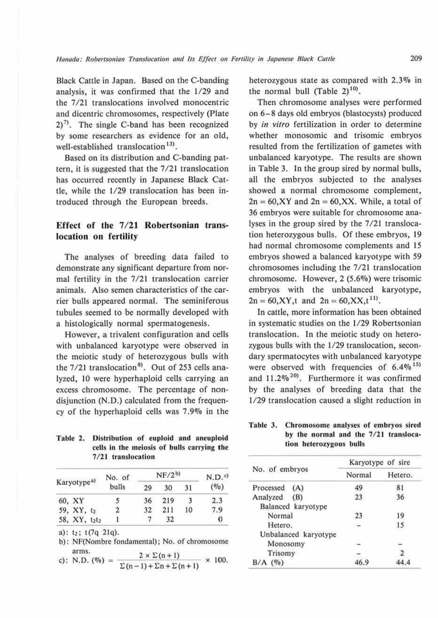Black Cattle in Japan. Based on the C-banding analysis, it was confirmed that the 1/29 and the 7/21 translocations involved monocentric and dicentric chromosomes, respectively (Plate  $2)^{7}$ . The single C-band has been recognized by some researchers as evidence for an old, well-established translocation<sup>13)</sup>.

Based on its distribution and C-banding pattern, it is suggested that the 7 /21 translocation has occurred recently in Japanese Black Cattle, while the 1/29 translocation has been introduced through the European breeds.

# Effect of the  $7/21$  Robertsonian trans**location on fertility**

The analyses of breeding data failed to demonstrate any significant departure from normal fertility in the 7/21 translocation carrier animals. Also semen characteristics of the carrier bulls appeared normal. The seminiferous tubules seemed to be normally developed with a histologically normal spermatogenesis.

However, a trivalent configuration and cells with unbalanced karyotype were observed in the meiotic study of heterozygous bulls with the  $7/21$  translocation<sup>8)</sup>. Out of 253 cells analyzed, 10 were hyperhaploid cells carrying an excess chromosome. The percentage of nondisjunction (N.D.) calculated from the frequency of the hyperhaploid cells was 7.9% in the

Table 2. Distribution of euploid and aneuploid cells in the meiosis of bulls carrying **the**  7/21 translocation

| Karyotype <sup>a)</sup> | No. of | $NF/2^{b}$ |     |    | N.D. <sub>c</sub> |
|-------------------------|--------|------------|-----|----|-------------------|
|                         | bulls  | 29         | 30  | 31 | (0/0)             |
| 60, XY                  |        | 36         | 219 |    | 2.3               |
| 59, XY, t2              | 2      | 32         | 211 | 10 | 7.9               |
| 58, XY, t2t2            |        |            | 32  |    | O                 |

a): t2; t (7q 21q).

b): NF(Nombrc fondamental); No. of chromosome

arms.<br>c): N.D. (%) =  $\frac{2 \times \Sigma(n+1)}{\Sigma(n-1) + \Sigma n + \Sigma(n+1)} \times 100$ .

heterozygous state as compared with 2.3% in the normal bull (Table  $2)^{10}$ .

Then chromosome analyses were performed on 6-8 days old embryos (blastocysts) produced by *in vitro* fertilization in order to determine whether monosomic and trisomic embryos resulted from the fertilization of gametes with unbalanced karyotype. The results are shown in Table 3. In the group sired by normal bulls, all the embryos subjected to the analyses showed a normal chromosome complement,  $2n = 60, XY$  and  $2n = 60, XX$ . While, a total of 36 embryos were suitable for chromosome analyses in the group sired by the 7/21 translocation heterozygous bulls. Of these embryos, 19 had normal chromosome complements and 15 embryos showed a balanced karyotype with *59*  chromosomes including the 7/21 translocation chromosome. However, 2 (5.6%) were trisomic embryos with the unbalanced karyotype,  $2n = 60, XY, t$  and  $2n = 60, XX, t^{11}$ .

In cattle, more information has been obtained in systematic studies on the 1/29 Robertsonian translocation. In the meiotic study on heterozygous bulls with the 1/29 translocation, secondary spermatocytes with unbalanced karyotype were observed with frequencies of  $6.4\%$ <sup>15)</sup> and  $11.2\%^{20}$ . Furthermore it was confirmed by the analyses of breeding data that the 1/29 translocation caused a slight reduction in

#### Table 3. Chromosome analyses of embryos sired by the normal and the  $7/21$  translocation heterozygous bulls

|                      | Karyotype of sire |         |  |  |
|----------------------|-------------------|---------|--|--|
| No. of embryos       | Normal            | Hetero. |  |  |
| Processed<br>(A)     | 49                | 81      |  |  |
| Analyzed<br>(B)      | 23                | 36      |  |  |
| Balanced karyotype   |                   |         |  |  |
| Normal               | 23                | 19      |  |  |
| Hetero.              |                   | 15      |  |  |
| Unbalanced karyotype |                   |         |  |  |
| Monosomy             |                   |         |  |  |
| Trisomy              |                   |         |  |  |
| (9)                  | 46.9              |         |  |  |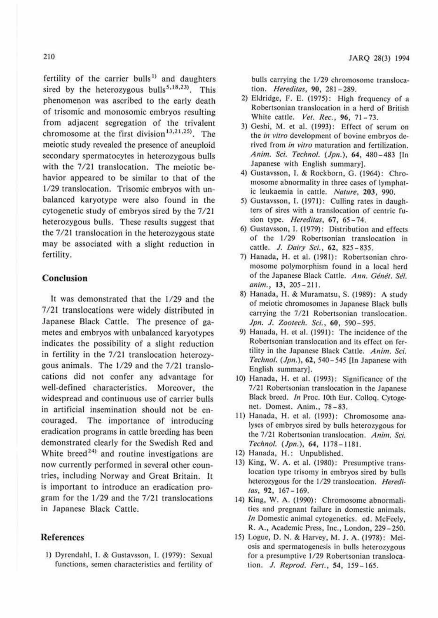fertility of the carrier bulls<sup>1)</sup> and daughters sired by the heterozygous bulls<sup>5,18,23)</sup>. This phenomenon was ascribed to the early death of trisomic and monosomic embryos resulting from adjacent segregation of the trivalent chromosome at the first division<sup>13,21,25)</sup>. The meiotic study revealed the presence of aneuploid secondary spermatocytes in heterozygous bulls with the 7/21 translocation. The meiotic behavior appeared to be similar to that of the 1/29 translocation. Trisomic embryos with unbalanced karyotype were also found in the cytogenetic study of embryos sired by ihe 7/21 heterozygous bulls. These results suggest that the 7/21 translocation in the heterozygous state may be associated with a slight reduction in fertility.

# **Conclusion**

It was demonstrated that the 1/29 and the 7 /21 translocations were widely distributed in Japanese Black Cattle. The presence of gametes and embryos with unbalanced karyotypes indicates the possibility of a slight reduction in fertility in the 7/21 translocation heterozygous animals. The 1/29 and the 7/21 translocations did not confer any advantage for well-defined characteristics. Moreover, the widespread and continuous use of carrier bulls in artificial insemination should not be encouraged. The importance of introducing eradication programs in cattle breeding has been demonstrated clearly for the Swedish Red and White breed<sup>24)</sup> and routine investigations are now currently performed in several other countries, including Norway and Great Britain. It is important to introduce an eradication program for the  $1/29$  and the  $7/21$  translocations in Japanese Black Cattle.

#### **References**

J) Oyrendahl, I. & Gustavsson, I. (1979): Sexual functions, semen characteristics and fertility of bulls carrying the 1/29 chromosome translocation. *Heredilas,* 90, 281-289.

- 2) Eldridge, F. E. (1975): High frequency of a Robertsonian translocation in a herd of British White cattle. *Vet. Rec.*, 96, 71-73.
- 3) Geshi, M. et al. {1993): Effect of serum on the *in vitro* development of bovine embryos derived from *in vitro* maturation and fertilization. Anim. *Sci. Technol.* (*Jpn.*), 64, 480-483 [In Japanese with English summary].
- 4) Gustavsson, I. & Rockborn, G. (1964): Chromosome abnormality in three cases of lymphatic leukaemia in cattle. *Nature,* **203,** 990.
- 5) Gustavsson, I. (1971): Culling rates in daughters of sires with a translocation of centric fusion type. *Hereditas*, 67, 65-74.
- 6) Gustavsson, J. (1979): Distribution and effects of the 1/29 Robertsonian translocation in caulc. J. *Dairy Sci.,* **62,** 825-835.
- 7) Hanada, H. et al. (1981): Robertsonian chromosome polymorphism found in a local herd of the Japanese Black Cattle. Ann. Génét. Sél. *anim.,* **13,** 205-211.
- **8)** Hanada, H. & Muramatsu. S. (1989) : A study of meiotic chromosomes in Japanese Black bulls carrying the 7/21 Robertsonian translocation. *Jpn.* J. *Zootech. Sci.,* **60,** 590-595.
- 9) Hanada, **H.** et al. (1991): The incidence of the Robertsonian translocation and its effect on fertility in the Japanese Black Cattle. Anim. Sci. *Tee/mo/.* (Jpn.), **62,** 540-545 (ln Japanese with English summary).
- 10) Hanada, H. et al. (1993): Significance of the 7/21 Robertsonian translocation in the Japanese Black breed. In Proc. 10th Eur. Colloq. Cytogenet. Domest. Anim., 78-83.
- 11) Hanada, H. et al. (1993): Chromosome analyses of embryos sired by bulls heterozygous for the 7/21 Robertsonian translocation. Anim. Sci. Technol. (Jpn.), 64, 1178-1181.
- 12) Hanada, H.: Unpublished.
- 13) King, W. A. et al. (1980): Presumptive translocation type trisomy in embryos sired by bulls heterozygous for the 1/29 translocation. *Hereditas,* **92,** 167-169.
- 14) King, W. A. (1990): Chromosome abnormalities and pregnant failure in domestic animals. *In* Domestic animal cytogenetics. ed. McFeely, R. A., Academic Press, Inc., London, 229-250.
- 15) Logue, 0. N. & Harvey, M. J. A. (1978): Meiosis and spermatogencsis in bulls heterozygous for a presumptive 1/29 Robertsonian translocation. *J. Reprod. Fert.*, 54, 159-165.